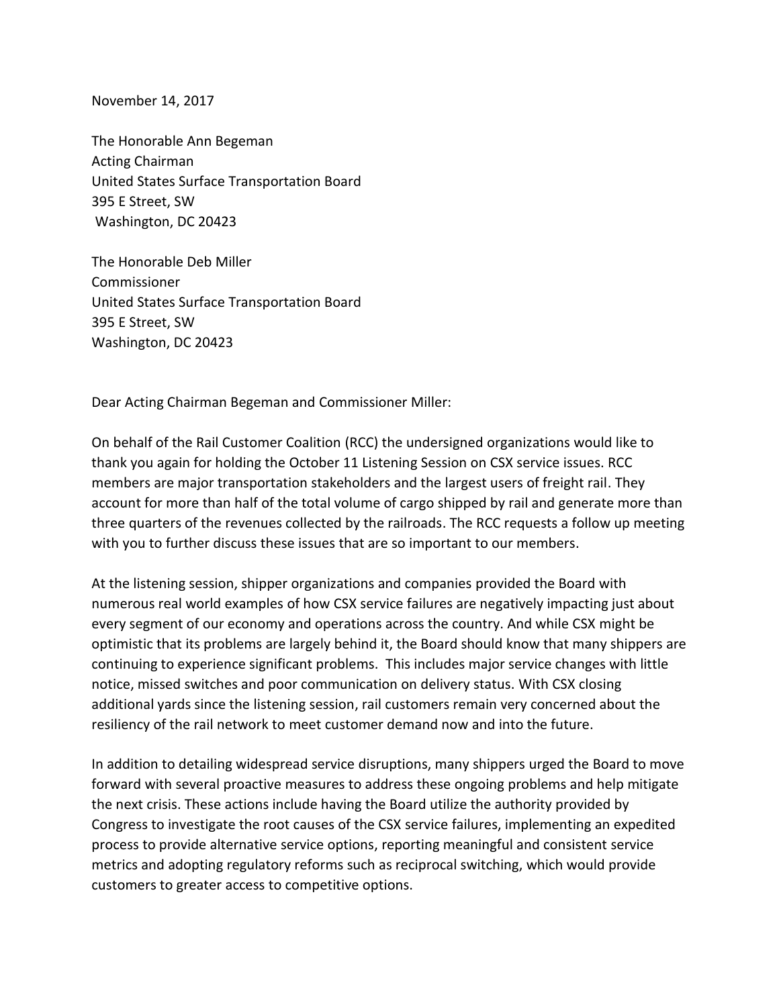November 14, 2017

The Honorable Ann Begeman Acting Chairman United States Surface Transportation Board 395 E Street, SW Washington, DC 20423

The Honorable Deb Miller Commissioner United States Surface Transportation Board 395 E Street, SW Washington, DC 20423

Dear Acting Chairman Begeman and Commissioner Miller:

On behalf of the Rail Customer Coalition (RCC) the undersigned organizations would like to thank you again for holding the October 11 Listening Session on CSX service issues. RCC members are major transportation stakeholders and the largest users of freight rail. They account for more than half of the total volume of cargo shipped by rail and generate more than three quarters of the revenues collected by the railroads. The RCC requests a follow up meeting with you to further discuss these issues that are so important to our members.

At the listening session, shipper organizations and companies provided the Board with numerous real world examples of how CSX service failures are negatively impacting just about every segment of our economy and operations across the country. And while CSX might be optimistic that its problems are largely behind it, the Board should know that many shippers are continuing to experience significant problems. This includes major service changes with little notice, missed switches and poor communication on delivery status. With CSX closing additional yards since the listening session, rail customers remain very concerned about the resiliency of the rail network to meet customer demand now and into the future.

In addition to detailing widespread service disruptions, many shippers urged the Board to move forward with several proactive measures to address these ongoing problems and help mitigate the next crisis. These actions include having the Board utilize the authority provided by Congress to investigate the root causes of the CSX service failures, implementing an expedited process to provide alternative service options, reporting meaningful and consistent service metrics and adopting regulatory reforms such as reciprocal switching, which would provide customers to greater access to competitive options.